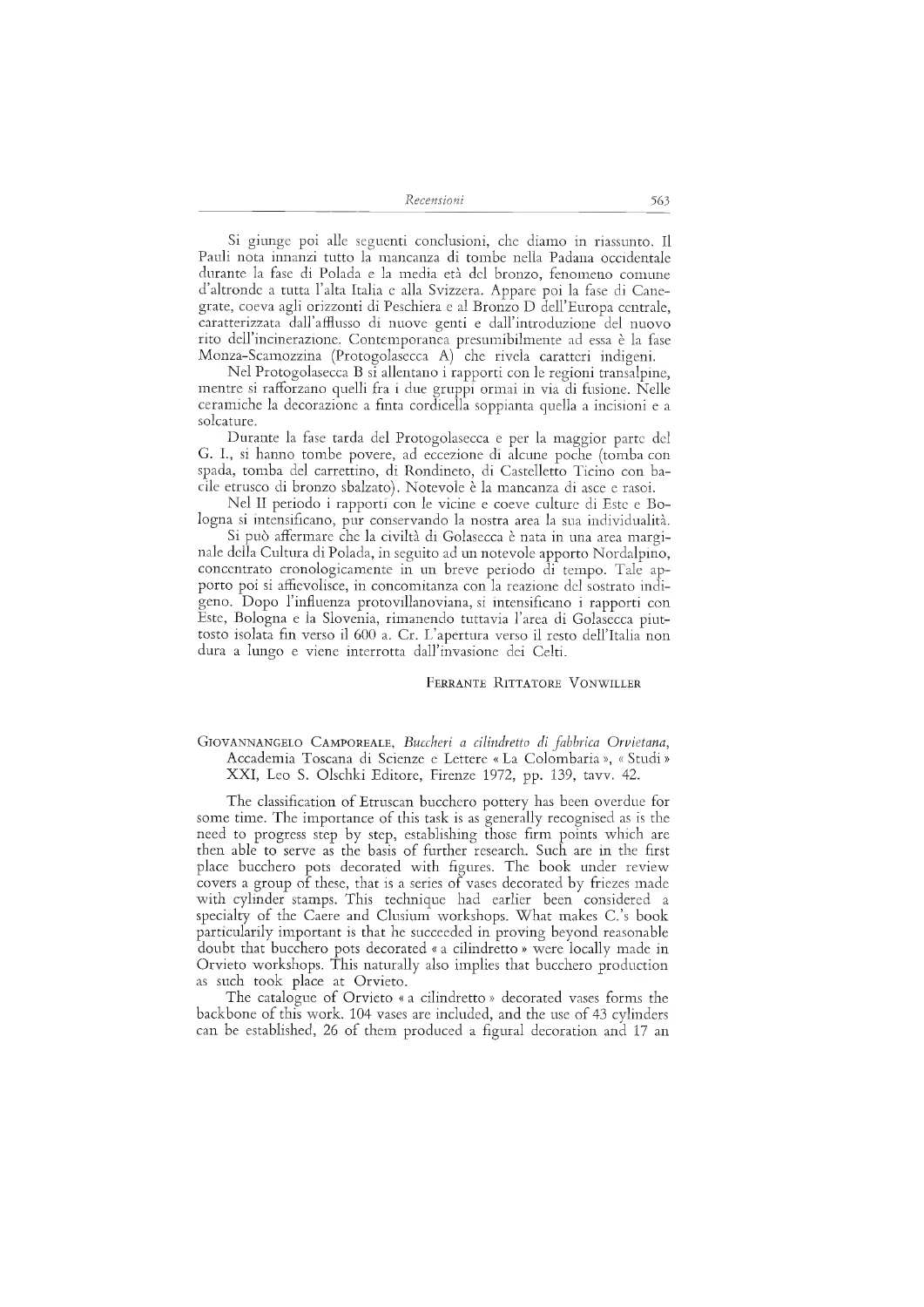*Recensioni 563*

Si giunge poi alle seguenti conclusioni, che diamo in riassunto. Il Pauli nota innanzi tutto la mancanza di tombe nella Padana occidentale durante la fase di Polada e la media età del bronzo, fenomeno comune d'altronde <sup>a</sup> tutta l'alta Italia <sup>e</sup> alla Svizzera. Appare poi la fase di Canegrate, coeva agli orizzonti di Peschiera e al Bronzo D dell'Europa centrale, caratterizzata dall'afflusso di nuove genti e dall'introduzione del nuovo rito dell'incinerazione. Contemporanea presumibilmente ad essa è la fase Monza-Scamozzina (Protogolasecca A) che rivela caratteri indigeni.

Nel Protogolasecca B si allentano i rapporti con le regioni transalpine, mentre si rafforzano quelli fra i due gruppi ormai in via di fusione. Nelle ceramiche la decorazione a finta cordicella soppianta quella a incisioni e a solcature.

Durante la fase tarda del Protogolasecca e per la maggior parte del G. I., si hanno tombe povere, ad eccezione di alcune poche (tomba con spada, tomba del carrettino, di Rondineto, di Castelletto Ticino con bacile etrusco di bronzo sbalzato). Notevole è la mancanza di asce e rasoi.

Nel II periodo i rapporti con le vicine e coeve culture di Este e Bologna si intensificano, pur conservando la nostra area la sua individualità.

Si può affermare che la civiltà di Golasecca è nata in una area marginale della Cultura di Polada, in seguito ad un notevole apporto Nordalpino, concentrato cronologicamente in un breve periodo di tempo. Tale apporto poi si affievolisce, in concomitanza con la reazione del sostrato indigeno. Dopo l'influenza protovillanoviana, si intensificano <sup>i</sup> rapporti con Este, Bologna <sup>e</sup> la Slovenia, rimanendo tuttavia l'area di Golasecca piuttosto isolata fin verso il 600 a. Cr. L'apertura verso il resto dell'Italia non dura a lungo e viene interrotta dall'invasione dei Celti.

FERRANTE RITTATORE VONWILLER

## GIOVANNANGELO CAMPOREALE, Buccheri a cilindretto di fabbrica Orvietana, Accademia Toscana di Scienze e Lettere «La Colombaria», «Studi» XXI, Leo S. Olschki Editore, Firenze 1972, pp. 139, tavv. 42.

The classification of Etruscan bucchero pottery has been overdue for some time. The importance of this task is as generally recognised as is the need to progress step by step, establishing those firm points which are then able to serve as the basis of further research. Such are in the first place bucchero pots decorated with figures. The book under review covers a group of these, that is a series of vases decorated by friezes made with cylinder stamps. This technique had earlier been considered a specialty of the Caere and Clusium workshops. What makes C.'s book particularily important is that he succeeded in proving beyond reasonable doubt that bucchero pots decorated « a cilindretto » were locally made in Orvieto workshops. This naturally also implies that bucchero production as such took place at Orvieto.

The catalogue of Orvieto « a cilindretto » decorated vases forms the backbone of this work. 104 vases are included, and the use of 43 cylinders can be established, 26 of them produced a figural decoration and 17 an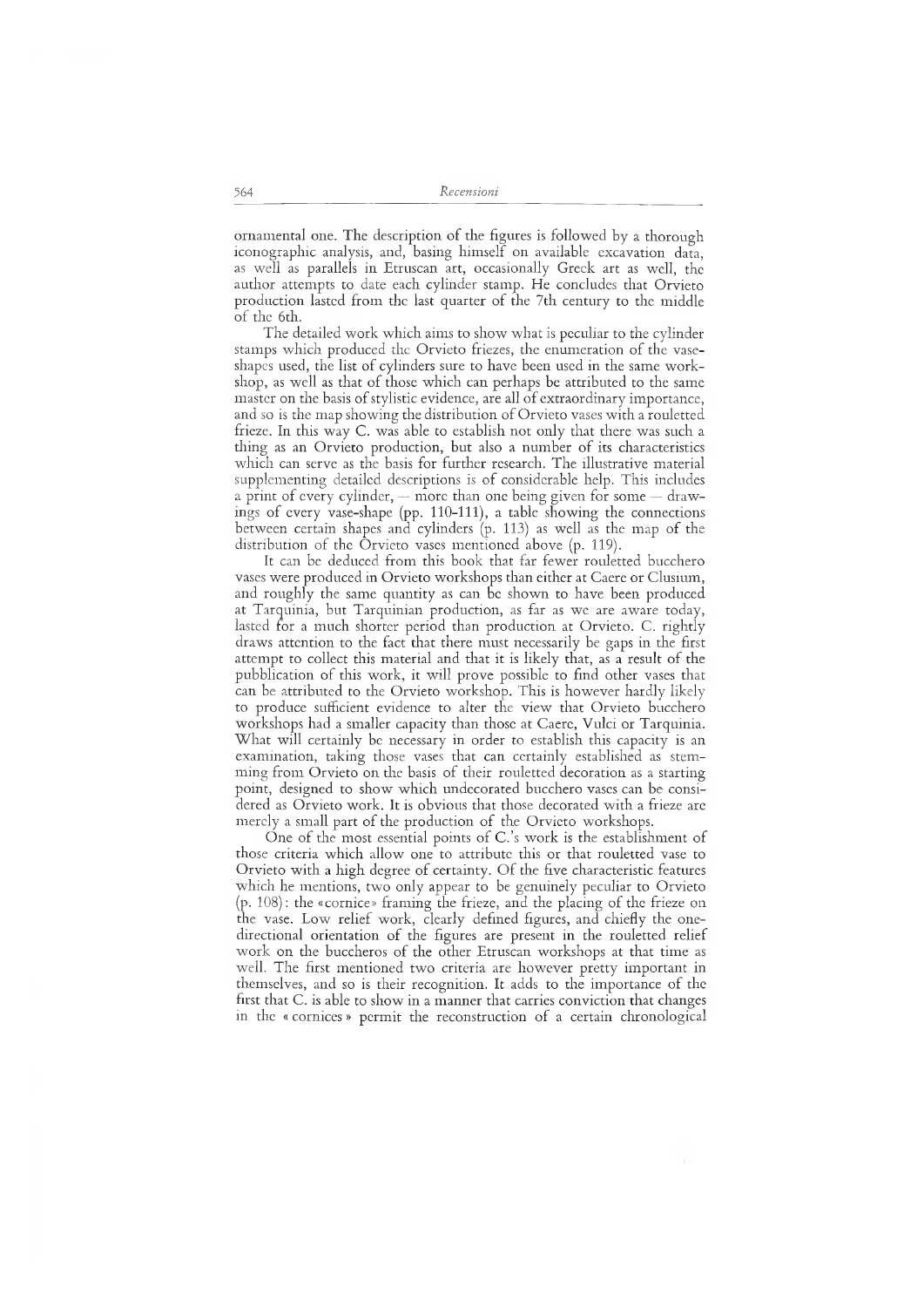ornamentai one. The description of the figures is followed by a thorough iconographie analysis, and, basing himself on available excavation data, as well as parallels in Etruscan art, occasionally Greek art as well, the author attempts to date each cylinder stamp. He concludes that Orvieto production lasted from the last quarter of the 7th century to the middle of the 6th.

The detailed work which aims to show what is peculiar to the cylinder stamps which produced the Orvieto friezes, the enumeration of the vaseshapes used, the list of cylinders sure to have been used in the same workshop, as well as that of those which can perhaps be attributed to the same master on the basis of stylistic evidence, are all of extraordinary importance, and so is the map showing the distribution of Orvieto vases with a rouletted frieze. In this way C. was able to establish not only that there was such a thing as an Orvieto production, but also a number of its characteristics which can serve as the basis for further research. The illustrative material supplementing detailed descriptions is of considerable help. This includes a print of every cylinder,  $-$  more than one being given for some  $-$  drawings of every vase-shape (pp. 110-111), a table showing the connections between certain shapes and cylinders (p. 113) as well as the map of the distribution of the Orvieto vases mentioned above (p. 119).

It can be deduced from this book that far fewer rouletted bucchero vases were produced in Orvieto workshops than either at Caere or Clusium, and roughly the same quantity as can be shown to have been produced at Tarquinia, but Tarquinian production, as far as we are aware today, lasted for a much shorter period than production at Orvieto. C. rightly draws attention to the fact that there must necessarily be gaps in the first attempt to collect this material and that it is likely that, as a result of the pubblication of this work, it will prove possible to find other vases that can be attributed to the Orvieto workshop. This is however hardly likely to produce sufficient evidence to alter the view that Orvieto bucchero workshops had a smaller capacity than those at Caere, Vulci or Tarquinia. What will certainly be necessary in order to establish this capacity is an examination, taking those vases that can certainly established as stemming from Orvieto on the basis of their rouletted decoration as a starting point, designed to show which undecorated bucchero vases can be considered as Orvieto work. It is obvious that those decorated with a frieze are merely a small part of the production of the Orvieto workshops.

One of the most essential points of C.'s work is the establishment of those criteria which allow one to attribute this or that rouletted vase to Orvieto with a high degree of certainty. Of the five characteristic features which he mentions, two only appear to be genuinely peculiar to Orvieto (p. 108): the «cornice» framing the frieze, and the placing of the frieze on the vase. Low relief work, clearly defined figures, and chiefly the onedirectional orientation of the figures are present in the rouletted relief work on the buccheros of the other Etruscan workshops at that time as well. The first mentioned two criteria are however pretty important in themselves, and so is their recognition. It adds to the importance of the first that C. is able to show in a manner that carries conviction that changes in the « cornices » permit the reconstruction of a certain chronological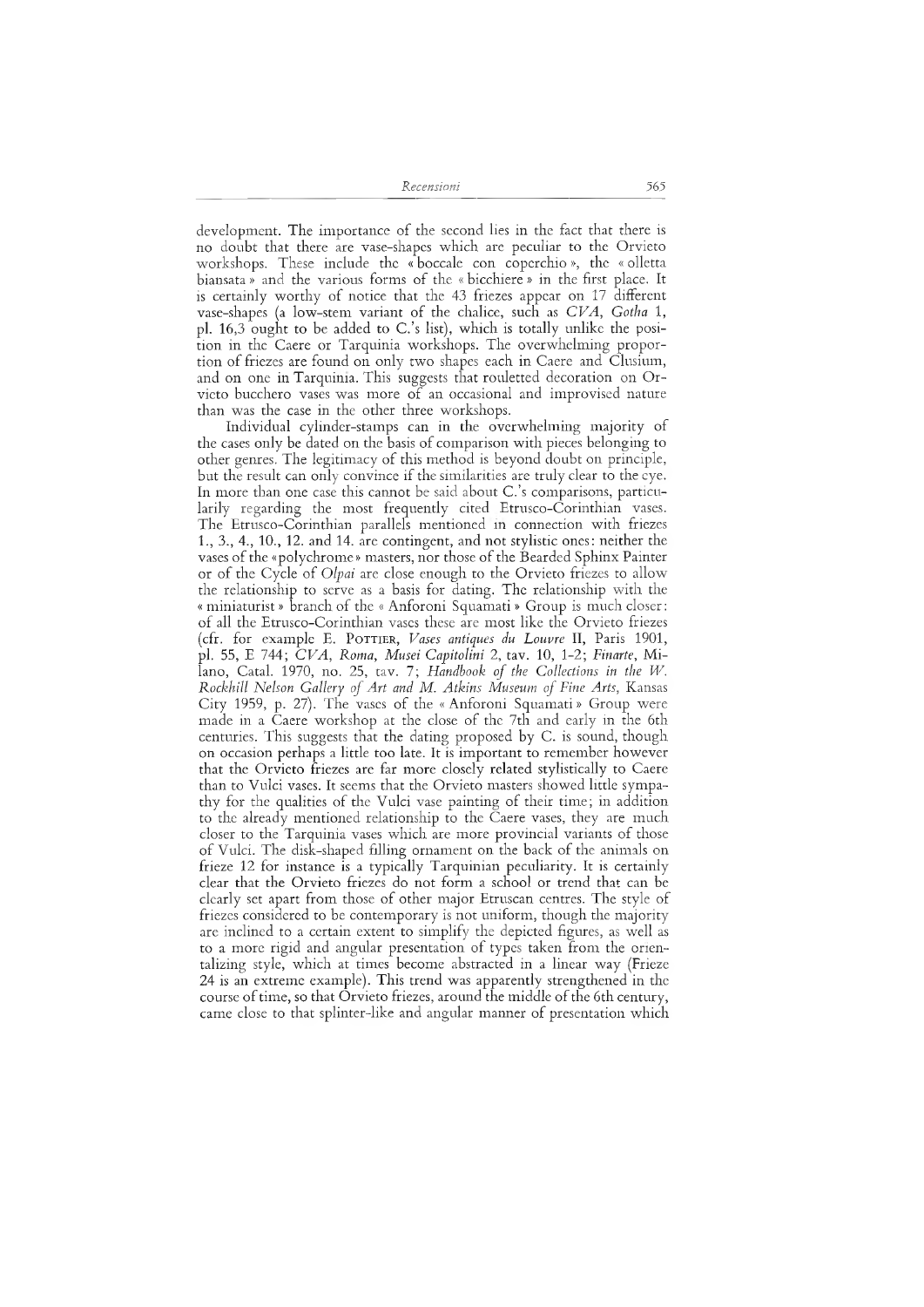*Recensioni* 565

development. The importance of the second lies in the fact that there is no doubt that there are vase-shapes which are peculiar to the Orvieto workshops. These include the « boccale con coperchio », the « olletta biansata » and the various forms of the « bicchiere » in the first place. It is certainly worthy of notice that the 43 friezes appear on 17 different vase-shapes (a low-stem variant of the chalice, such as *CVA, Gotha* 1, pl. 16,3 ought to be added to C.'s list), which is totally unlike the position in the Caere or Tarquinia workshops. The overwhelming proportion of friezes are found on only two shapes each in Caere and Clusium, and on one in Tarquinia. This suggests that rouletted decoration on Orvieto bucchero vases was more of an occasional and improvised nature than was the case in the other three workshops.

Individual cylinder-stamps can in the overwhelming majority of the cases only be dated on the basis of comparison with pieces belonging to other genres. The legitimacy of this method is beyond doubt on principle, but the result can only convince if the similarities are truly clear to the eye. In more than one case this cannot be said about C.'s comparisons, particularily regarding the most frequently cited Etrusco-Corinthian vases. The Etrusco-Corinthian parallels mentioned in connection with friezes 1., 3., 4., 10., 12. and 14. are contingent, and not stylistic ones: neither the vases of the «polychrome» masters, nor those of the Bearded Sphinx Painter or of the Cycle of *Olpai* are close enough to the Orvieto friezes to allow the relationship to serve as a basis for dating. The relationship with the « miniaturist » branch of the « Anforoni Squamati » Group is much closer: of all the Etrusco-Corinthian vases these are most like the Orvieto friezes (cfr. for example E. POTTIER, Vases antiques du Louvre II, Paris 1901, pl. 55, E 744; *CVA, Roma, Musei Capitolini* 2, tav. 10, 1-2; *Finarte,* Milano, Catal. 1970, no. 25, tav. 7; *Handbook of the Collections in the W. Rockhill Nelson Gallery ofArt and Μ. Atkins Museum ofFine Arts,* Kansas City 1959, p. 27). The vases of the «Anforoni Squamati» Group were made in a Caere workshop at the close of the 7th and early in the 6th centuries. This suggests that the dating proposed by C. is sound, though on occasion perhaps a little too late. It is important to remember however that the Orvieto friezes are far more closely related stylistically to Caere than to Vulci vases. It seems that the Orvieto masters showed little sympathy for the qualities of the Vulci vase painting of their time; in addition to the already mentioned relationship to the Caere vases, they are much closer to the Tarquinia vases which are more provincial variants of those of Vulci. The disk-shaped filling ornament on the back of the animals on frieze 12 for instance is a typically Tarquinian peculiarity. It is certainly clear that the Orvieto friezes do not form a school or trend that can be clearly set apart from those of other major Etruscan centres. The style of friezes considered to be contemporary is not uniform, though the majority are inclined to a certain extent to simplify the depicted figures, as well as to a more rigid and angular presentation of types taken from the orientalizing style, which at times become abstracted in a linear way (Frieze 24 is an extreme example). This trend was apparently strengthened in the course of time, so that Orvieto friezes, around the middle of the 6th century, came close to that splinter-like and angular manner of presentation which